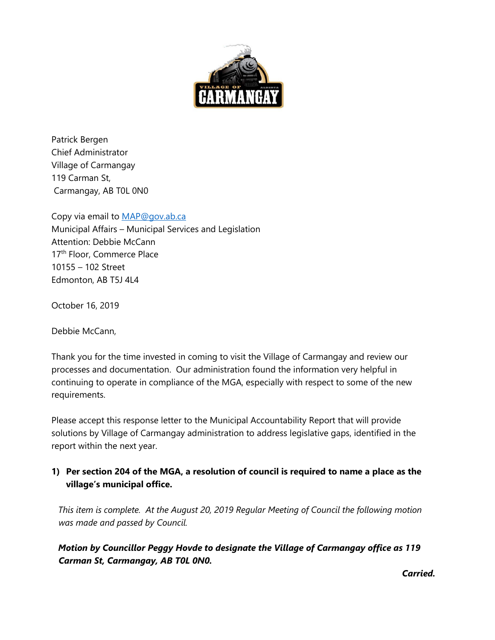

Patrick Bergen Chief Administrator Village of Carmangay 119 Carman St, Carmangay, AB T0L 0N0

Copy via email to [MAP@gov.ab.ca](mailto:MAP@gov.ab.ca) Municipal Affairs – Municipal Services and Legislation Attention: Debbie McCann 17<sup>th</sup> Floor, Commerce Place 10155 – 102 Street Edmonton, AB T5J 4L4

October 16, 2019

Debbie McCann,

Thank you for the time invested in coming to visit the Village of Carmangay and review our processes and documentation. Our administration found the information very helpful in continuing to operate in compliance of the MGA, especially with respect to some of the new requirements.

Please accept this response letter to the Municipal Accountability Report that will provide solutions by Village of Carmangay administration to address legislative gaps, identified in the report within the next year.

# **1) Per section 204 of the MGA, a resolution of council is required to name a place as the village's municipal office.**

*This item is complete. At the August 20, 2019 Regular Meeting of Council the following motion was made and passed by Council.* 

# *Motion by Councillor Peggy Hovde to designate the Village of Carmangay office as 119 Carman St, Carmangay, AB T0L 0N0.*

*Carried.*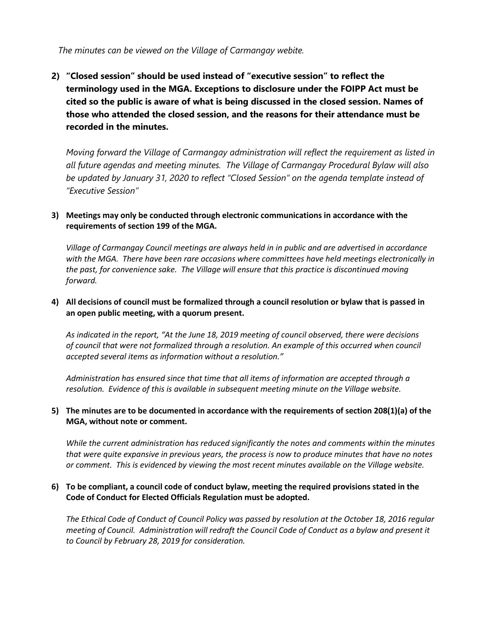*The minutes can be viewed on the Village of Carmangay webite.*

**2) "Closed session" should be used instead of "executive session" to reflect the terminology used in the MGA. Exceptions to disclosure under the FOIPP Act must be cited so the public is aware of what is being discussed in the closed session. Names of those who attended the closed session, and the reasons for their attendance must be recorded in the minutes.**

*Moving forward the Village of Carmangay administration will reflect the requirement as listed in all future agendas and meeting minutes. The Village of Carmangay Procedural Bylaw will also be updated by January 31, 2020 to reflect "Closed Session" on the agenda template instead of "Executive Session"*

# **3) Meetings may only be conducted through electronic communications in accordance with the requirements of section 199 of the MGA.**

*Village of Carmangay Council meetings are always held in in public and are advertised in accordance with the MGA. There have been rare occasions where committees have held meetings electronically in the past, for convenience sake. The Village will ensure that this practice is discontinued moving forward.*

# **4) All decisions of council must be formalized through a council resolution or bylaw that is passed in an open public meeting, with a quorum present.**

*As indicated in the report, "At the June 18, 2019 meeting of council observed, there were decisions of council that were not formalized through a resolution. An example of this occurred when council accepted several items as information without a resolution."*

*Administration has ensured since that time that all items of information are accepted through a resolution. Evidence of this is available in subsequent meeting minute on the Village website.*

# **5) The minutes are to be documented in accordance with the requirements of section 208(1)(a) of the MGA, without note or comment.**

*While the current administration has reduced significantly the notes and comments within the minutes that were quite expansive in previous years, the process is now to produce minutes that have no notes or comment. This is evidenced by viewing the most recent minutes available on the Village website.*

# **6) To be compliant, a council code of conduct bylaw, meeting the required provisions stated in the Code of Conduct for Elected Officials Regulation must be adopted.**

*The Ethical Code of Conduct of Council Policy was passed by resolution at the October 18, 2016 regular meeting of Council. Administration will redraft the Council Code of Conduct as a bylaw and present it to Council by February 28, 2019 for consideration.*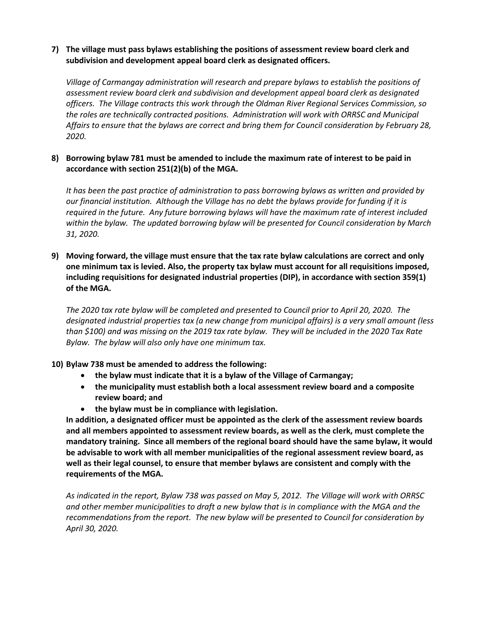#### **7) The village must pass bylaws establishing the positions of assessment review board clerk and subdivision and development appeal board clerk as designated officers.**

*Village of Carmangay administration will research and prepare bylaws to establish the positions of assessment review board clerk and subdivision and development appeal board clerk as designated officers. The Village contracts this work through the Oldman River Regional Services Commission, so the roles are technically contracted positions. Administration will work with ORRSC and Municipal Affairs to ensure that the bylaws are correct and bring them for Council consideration by February 28, 2020.*

#### **8) Borrowing bylaw 781 must be amended to include the maximum rate of interest to be paid in accordance with section 251(2)(b) of the MGA.**

*It has been the past practice of administration to pass borrowing bylaws as written and provided by our financial institution. Although the Village has no debt the bylaws provide for funding if it is required in the future. Any future borrowing bylaws will have the maximum rate of interest included within the bylaw. The updated borrowing bylaw will be presented for Council consideration by March 31, 2020.*

#### **9) Moving forward, the village must ensure that the tax rate bylaw calculations are correct and only one minimum tax is levied. Also, the property tax bylaw must account for all requisitions imposed, including requisitions for designated industrial properties (DIP), in accordance with section 359(1) of the MGA.**

*The 2020 tax rate bylaw will be completed and presented to Council prior to April 20, 2020. The designated industrial properties tax (a new change from municipal affairs) is a very small amount (less than \$100) and was missing on the 2019 tax rate bylaw. They will be included in the 2020 Tax Rate Bylaw. The bylaw will also only have one minimum tax.*

# **10) Bylaw 738 must be amended to address the following:**

- **the bylaw must indicate that it is a bylaw of the Village of Carmangay;**
- **the municipality must establish both a local assessment review board and a composite review board; and**
- **the bylaw must be in compliance with legislation.**

**In addition, a designated officer must be appointed as the clerk of the assessment review boards and all members appointed to assessment review boards, as well as the clerk, must complete the mandatory training. Since all members of the regional board should have the same bylaw, it would be advisable to work with all member municipalities of the regional assessment review board, as well as their legal counsel, to ensure that member bylaws are consistent and comply with the requirements of the MGA.**

*As indicated in the report, Bylaw 738 was passed on May 5, 2012. The Village will work with ORRSC and other member municipalities to draft a new bylaw that is in compliance with the MGA and the recommendations from the report. The new bylaw will be presented to Council for consideration by April 30, 2020.*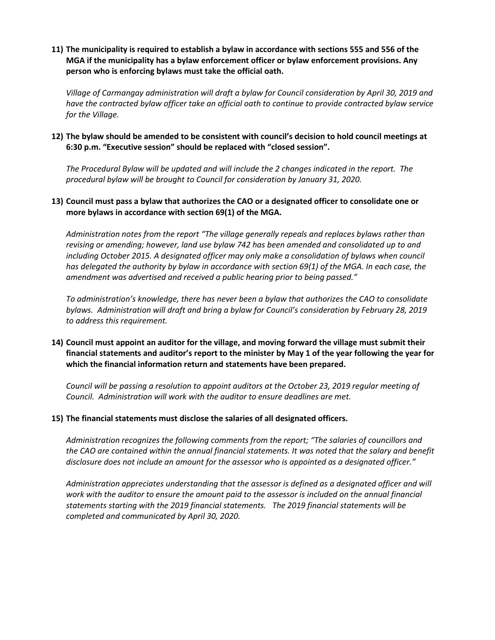**11) The municipality is required to establish a bylaw in accordance with sections 555 and 556 of the MGA if the municipality has a bylaw enforcement officer or bylaw enforcement provisions. Any person who is enforcing bylaws must take the official oath.**

*Village of Carmangay administration will draft a bylaw for Council consideration by April 30, 2019 and have the contracted bylaw officer take an official oath to continue to provide contracted bylaw service for the Village.*

**12) The bylaw should be amended to be consistent with council's decision to hold council meetings at 6:30 p.m. "Executive session" should be replaced with "closed session".**

*The Procedural Bylaw will be updated and will include the 2 changes indicated in the report. The procedural bylaw will be brought to Council for consideration by January 31, 2020.*

#### **13) Council must pass a bylaw that authorizes the CAO or a designated officer to consolidate one or more bylaws in accordance with section 69(1) of the MGA.**

*Administration notes from the report "The village generally repeals and replaces bylaws rather than revising or amending; however, land use bylaw 742 has been amended and consolidated up to and including October 2015. A designated officer may only make a consolidation of bylaws when council has delegated the authority by bylaw in accordance with section 69(1) of the MGA. In each case, the amendment was advertised and received a public hearing prior to being passed."*

*To administration's knowledge, there has never been a bylaw that authorizes the CAO to consolidate bylaws. Administration will draft and bring a bylaw for Council's consideration by February 28, 2019 to address this requirement.*

#### **14) Council must appoint an auditor for the village, and moving forward the village must submit their financial statements and auditor's report to the minister by May 1 of the year following the year for which the financial information return and statements have been prepared.**

*Council will be passing a resolution to appoint auditors at the October 23, 2019 regular meeting of Council. Administration will work with the auditor to ensure deadlines are met.*

#### **15) The financial statements must disclose the salaries of all designated officers.**

*Administration recognizes the following comments from the report; "The salaries of councillors and the CAO are contained within the annual financial statements. It was noted that the salary and benefit disclosure does not include an amount for the assessor who is appointed as a designated officer."*

*Administration appreciates understanding that the assessor is defined as a designated officer and will*  work with the auditor to ensure the amount paid to the assessor is included on the annual financial *statements starting with the 2019 financial statements. The 2019 financial statements will be completed and communicated by April 30, 2020.*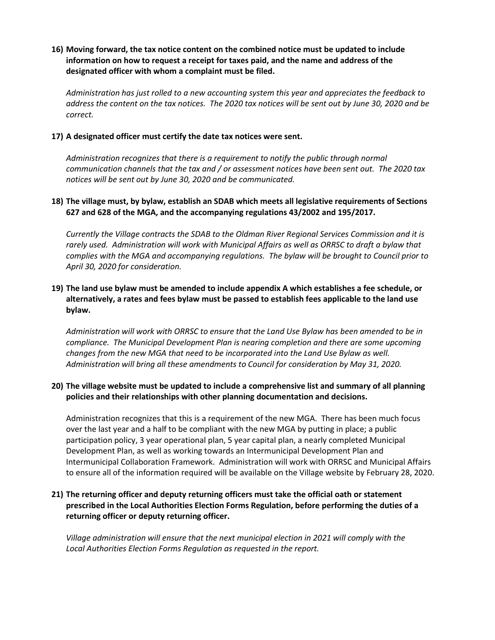#### **16) Moving forward, the tax notice content on the combined notice must be updated to include information on how to request a receipt for taxes paid, and the name and address of the designated officer with whom a complaint must be filed.**

*Administration has just rolled to a new accounting system this year and appreciates the feedback to address the content on the tax notices. The 2020 tax notices will be sent out by June 30, 2020 and be correct.*

#### **17) A designated officer must certify the date tax notices were sent.**

*Administration recognizes that there is a requirement to notify the public through normal communication channels that the tax and / or assessment notices have been sent out. The 2020 tax notices will be sent out by June 30, 2020 and be communicated.*

#### **18) The village must, by bylaw, establish an SDAB which meets all legislative requirements of Sections 627 and 628 of the MGA, and the accompanying regulations 43/2002 and 195/2017.**

*Currently the Village contracts the SDAB to the Oldman River Regional Services Commission and it is*  rarely used. Administration will work with Municipal Affairs as well as ORRSC to draft a bylaw that *complies with the MGA and accompanying regulations. The bylaw will be brought to Council prior to April 30, 2020 for consideration.*

# **19) The land use bylaw must be amended to include appendix A which establishes a fee schedule, or alternatively, a rates and fees bylaw must be passed to establish fees applicable to the land use bylaw.**

*Administration will work with ORRSC to ensure that the Land Use Bylaw has been amended to be in compliance. The Municipal Development Plan is nearing completion and there are some upcoming changes from the new MGA that need to be incorporated into the Land Use Bylaw as well. Administration will bring all these amendments to Council for consideration by May 31, 2020.*

#### **20) The village website must be updated to include a comprehensive list and summary of all planning policies and their relationships with other planning documentation and decisions.**

Administration recognizes that this is a requirement of the new MGA. There has been much focus over the last year and a half to be compliant with the new MGA by putting in place; a public participation policy, 3 year operational plan, 5 year capital plan, a nearly completed Municipal Development Plan, as well as working towards an Intermunicipal Development Plan and Intermunicipal Collaboration Framework. Administration will work with ORRSC and Municipal Affairs to ensure all of the information required will be available on the Village website by February 28, 2020.

#### **21) The returning officer and deputy returning officers must take the official oath or statement prescribed in the Local Authorities Election Forms Regulation, before performing the duties of a returning officer or deputy returning officer.**

*Village administration will ensure that the next municipal election in 2021 will comply with the Local Authorities Election Forms Regulation as requested in the report.*